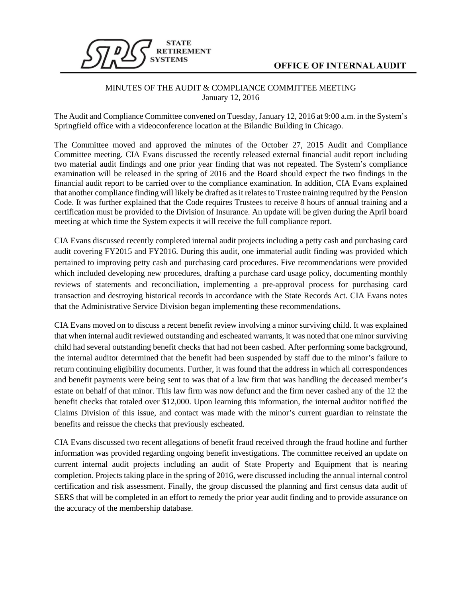

## **OFFICE OF INTERNAL AUDIT**

## MINUTES OF THE AUDIT & COMPLIANCE COMMITTEE MEETING January 12, 2016

The Audit and Compliance Committee convened on Tuesday, January 12, 2016 at 9:00 a.m. in the System's Springfield office with a videoconference location at the Bilandic Building in Chicago.

The Committee moved and approved the minutes of the October 27, 2015 Audit and Compliance Committee meeting. CIA Evans discussed the recently released external financial audit report including two material audit findings and one prior year finding that was not repeated. The System's compliance examination will be released in the spring of 2016 and the Board should expect the two findings in the financial audit report to be carried over to the compliance examination. In addition, CIA Evans explained that another compliance finding will likely be drafted as it relates to Trustee training required by the Pension Code. It was further explained that the Code requires Trustees to receive 8 hours of annual training and a certification must be provided to the Division of Insurance. An update will be given during the April board meeting at which time the System expects it will receive the full compliance report.

CIA Evans discussed recently completed internal audit projects including a petty cash and purchasing card audit covering FY2015 and FY2016. During this audit, one immaterial audit finding was provided which pertained to improving petty cash and purchasing card procedures. Five recommendations were provided which included developing new procedures, drafting a purchase card usage policy, documenting monthly reviews of statements and reconciliation, implementing a pre-approval process for purchasing card transaction and destroying historical records in accordance with the State Records Act. CIA Evans notes that the Administrative Service Division began implementing these recommendations.

CIA Evans moved on to discuss a recent benefit review involving a minor surviving child. It was explained that when internal audit reviewed outstanding and escheated warrants, it was noted that one minor surviving child had several outstanding benefit checks that had not been cashed. After performing some background, the internal auditor determined that the benefit had been suspended by staff due to the minor's failure to return continuing eligibility documents. Further, it was found that the address in which all correspondences and benefit payments were being sent to was that of a law firm that was handling the deceased member's estate on behalf of that minor. This law firm was now defunct and the firm never cashed any of the 12 the benefit checks that totaled over \$12,000. Upon learning this information, the internal auditor notified the Claims Division of this issue, and contact was made with the minor's current guardian to reinstate the benefits and reissue the checks that previously escheated.

CIA Evans discussed two recent allegations of benefit fraud received through the fraud hotline and further information was provided regarding ongoing benefit investigations. The committee received an update on current internal audit projects including an audit of State Property and Equipment that is nearing completion. Projects taking place in the spring of 2016, were discussed including the annual internal control certification and risk assessment. Finally, the group discussed the planning and first census data audit of SERS that will be completed in an effort to remedy the prior year audit finding and to provide assurance on the accuracy of the membership database.